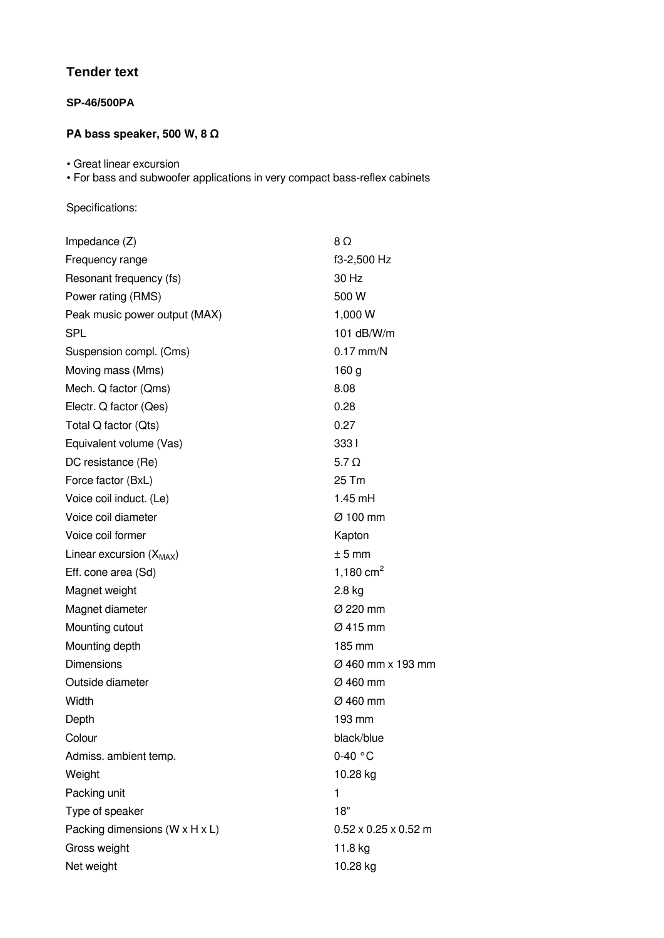# **Tender text**

### **SP-46/500PA**

## **PA bass speaker, 500 W, 8 Ω**

• Great linear excursion

• For bass and subwoofer applications in very compact bass-reflex cabinets

#### Specifications:

| Impedance $(Z)$                              | 8Ω                               |
|----------------------------------------------|----------------------------------|
| Frequency range                              | f3-2,500 Hz                      |
| Resonant frequency (fs)                      | 30 Hz                            |
| Power rating (RMS)                           | 500 W                            |
| Peak music power output (MAX)                | 1,000 W                          |
| <b>SPL</b>                                   | 101 $dB/W/m$                     |
| Suspension compl. (Cms)                      | $0.17$ mm/N                      |
| Moving mass (Mms)                            | 160 <sub>g</sub>                 |
| Mech. Q factor (Qms)                         | 8.08                             |
| Electr. Q factor (Qes)                       | 0.28                             |
| Total Q factor (Qts)                         | 0.27                             |
| Equivalent volume (Vas)                      | 3331                             |
| DC resistance (Re)                           | $5.7\Omega$                      |
| Force factor (BxL)                           | 25 Tm                            |
| Voice coil induct. (Le)                      | $1.45$ mH                        |
| Voice coil diameter                          | $\varnothing$ 100 mm             |
| Voice coil former                            | Kapton                           |
| Linear excursion $(X_{MAX})$                 | $± 5$ mm                         |
| Eff. cone area (Sd)                          | 1,180 $cm2$                      |
| Magnet weight                                | $2.8$ kg                         |
| Magnet diameter                              | Ø 220 mm                         |
| Mounting cutout                              | $\varnothing$ 415 mm             |
| Mounting depth                               | 185 mm                           |
| Dimensions                                   | Ø 460 mm x 193 mm                |
| Outside diameter                             | $\varnothing$ 460 mm             |
| Width                                        | $\varnothing$ 460 mm             |
| Depth                                        | 193 mm                           |
| Colour                                       | black/blue                       |
| Admiss. ambient temp.                        | $0-40 °C$                        |
| Weight                                       | 10.28 kg                         |
| Packing unit                                 | 1                                |
| Type of speaker                              | 18"                              |
| Packing dimensions ( $W \times H \times L$ ) | $0.52 \times 0.25 \times 0.52$ m |
| Gross weight                                 | 11.8 kg                          |
| Net weight                                   | 10.28 kg                         |